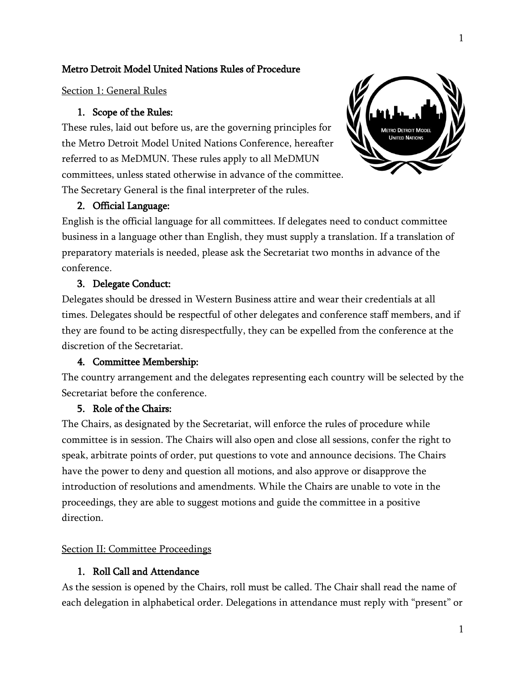# Metro Detroit Model United Nations Rules of Procedure

Section 1: General Rules

# 1. Scope of the Rules:

These rules, laid out before us, are the governing principles for the Metro Detroit Model United Nations Conference, hereafter referred to as MeDMUN. These rules apply to all MeDMUN committees, unless stated otherwise in advance of the committee. The Secretary General is the final interpreter of the rules.



# 2. Official Language:

English is the official language for all committees. If delegates need to conduct committee business in a language other than English, they must supply a translation. If a translation of preparatory materials is needed, please ask the Secretariat two months in advance of the conference.

# 3. Delegate Conduct:

Delegates should be dressed in Western Business attire and wear their credentials at all times. Delegates should be respectful of other delegates and conference staff members, and if they are found to be acting disrespectfully, they can be expelled from the conference at the discretion of the Secretariat.

# 4. Committee Membership:

The country arrangement and the delegates representing each country will be selected by the Secretariat before the conference.

# 5. Role of the Chairs:

The Chairs, as designated by the Secretariat, will enforce the rules of procedure while committee is in session. The Chairs will also open and close all sessions, confer the right to speak, arbitrate points of order, put questions to vote and announce decisions. The Chairs have the power to deny and question all motions, and also approve or disapprove the introduction of resolutions and amendments. While the Chairs are unable to vote in the proceedings, they are able to suggest motions and guide the committee in a positive direction.

### Section II: Committee Proceedings

# 1. Roll Call and Attendance

As the session is opened by the Chairs, roll must be called. The Chair shall read the name of each delegation in alphabetical order. Delegations in attendance must reply with "present" or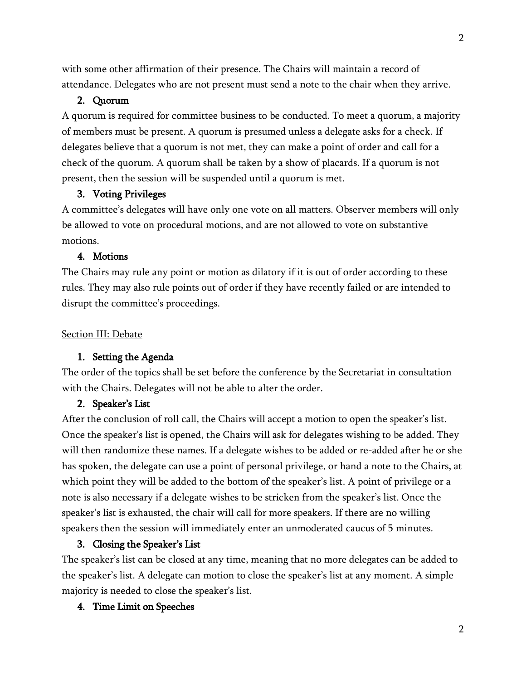with some other affirmation of their presence. The Chairs will maintain a record of attendance. Delegates who are not present must send a note to the chair when they arrive.

# 2. Quorum

A quorum is required for committee business to be conducted. To meet a quorum, a majority of members must be present. A quorum is presumed unless a delegate asks for a check. If delegates believe that a quorum is not met, they can make a point of order and call for a check of the quorum. A quorum shall be taken by a show of placards. If a quorum is not present, then the session will be suspended until a quorum is met.

### 3. Voting Privileges

A committee's delegates will have only one vote on all matters. Observer members will only be allowed to vote on procedural motions, and are not allowed to vote on substantive motions.

#### 4. Motions

The Chairs may rule any point or motion as dilatory if it is out of order according to these rules. They may also rule points out of order if they have recently failed or are intended to disrupt the committee's proceedings.

#### Section III: Debate

### 1. Setting the Agenda

The order of the topics shall be set before the conference by the Secretariat in consultation with the Chairs. Delegates will not be able to alter the order.

#### 2. Speaker's List

After the conclusion of roll call, the Chairs will accept a motion to open the speaker's list. Once the speaker's list is opened, the Chairs will ask for delegates wishing to be added. They will then randomize these names. If a delegate wishes to be added or re-added after he or she has spoken, the delegate can use a point of personal privilege, or hand a note to the Chairs, at which point they will be added to the bottom of the speaker's list. A point of privilege or a note is also necessary if a delegate wishes to be stricken from the speaker's list. Once the speaker's list is exhausted, the chair will call for more speakers. If there are no willing speakers then the session will immediately enter an unmoderated caucus of 5 minutes.

### 3. Closing the Speaker's List

The speaker's list can be closed at any time, meaning that no more delegates can be added to the speaker's list. A delegate can motion to close the speaker's list at any moment. A simple majority is needed to close the speaker's list.

### 4. Time Limit on Speeches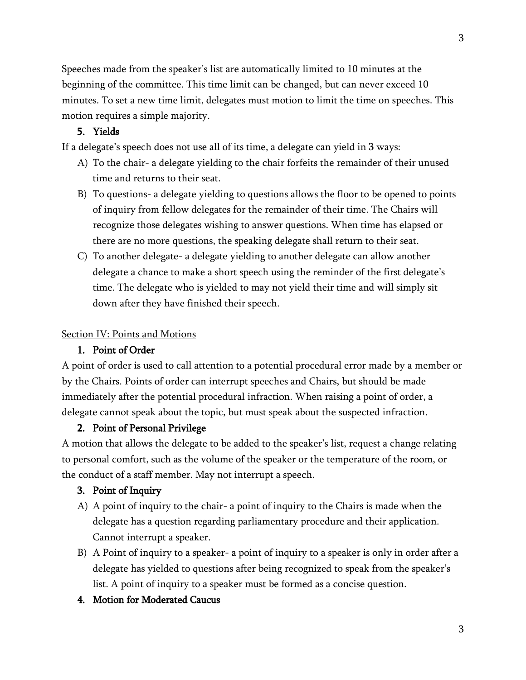Speeches made from the speaker's list are automatically limited to 10 minutes at the beginning of the committee. This time limit can be changed, but can never exceed 10 minutes. To set a new time limit, delegates must motion to limit the time on speeches. This motion requires a simple majority.

# 5. Yields

If a delegate's speech does not use all of its time, a delegate can yield in 3 ways:

- A) To the chair- a delegate yielding to the chair forfeits the remainder of their unused time and returns to their seat.
- B) To questions- a delegate yielding to questions allows the floor to be opened to points of inquiry from fellow delegates for the remainder of their time. The Chairs will recognize those delegates wishing to answer questions. When time has elapsed or there are no more questions, the speaking delegate shall return to their seat.
- C) To another delegate- a delegate yielding to another delegate can allow another delegate a chance to make a short speech using the reminder of the first delegate's time. The delegate who is yielded to may not yield their time and will simply sit down after they have finished their speech.

# Section IV: Points and Motions

# 1. Point of Order

A point of order is used to call attention to a potential procedural error made by a member or by the Chairs. Points of order can interrupt speeches and Chairs, but should be made immediately after the potential procedural infraction. When raising a point of order, a delegate cannot speak about the topic, but must speak about the suspected infraction.

### 2. Point of Personal Privilege

A motion that allows the delegate to be added to the speaker's list, request a change relating to personal comfort, such as the volume of the speaker or the temperature of the room, or the conduct of a staff member. May not interrupt a speech.

### 3. Point of Inquiry

- A) A point of inquiry to the chair- a point of inquiry to the Chairs is made when the delegate has a question regarding parliamentary procedure and their application. Cannot interrupt a speaker.
- B) A Point of inquiry to a speaker- a point of inquiry to a speaker is only in order after a delegate has yielded to questions after being recognized to speak from the speaker's list. A point of inquiry to a speaker must be formed as a concise question.
- 4. Motion for Moderated Caucus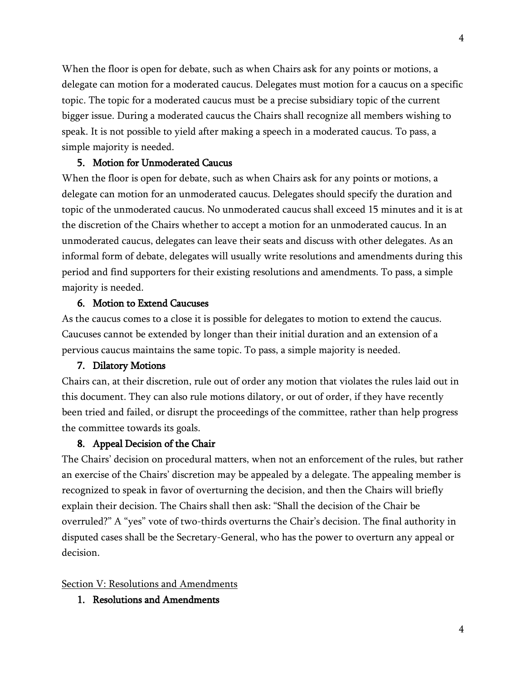When the floor is open for debate, such as when Chairs ask for any points or motions, a delegate can motion for a moderated caucus. Delegates must motion for a caucus on a specific topic. The topic for a moderated caucus must be a precise subsidiary topic of the current bigger issue. During a moderated caucus the Chairs shall recognize all members wishing to speak. It is not possible to yield after making a speech in a moderated caucus. To pass, a simple majority is needed.

### 5. Motion for Unmoderated Caucus

When the floor is open for debate, such as when Chairs ask for any points or motions, a delegate can motion for an unmoderated caucus. Delegates should specify the duration and topic of the unmoderated caucus. No unmoderated caucus shall exceed 15 minutes and it is at the discretion of the Chairs whether to accept a motion for an unmoderated caucus. In an unmoderated caucus, delegates can leave their seats and discuss with other delegates. As an informal form of debate, delegates will usually write resolutions and amendments during this period and find supporters for their existing resolutions and amendments. To pass, a simple majority is needed.

### 6. Motion to Extend Caucuses

As the caucus comes to a close it is possible for delegates to motion to extend the caucus. Caucuses cannot be extended by longer than their initial duration and an extension of a pervious caucus maintains the same topic. To pass, a simple majority is needed.

#### 7. Dilatory Motions

Chairs can, at their discretion, rule out of order any motion that violates the rules laid out in this document. They can also rule motions dilatory, or out of order, if they have recently been tried and failed, or disrupt the proceedings of the committee, rather than help progress the committee towards its goals.

### 8. Appeal Decision of the Chair

The Chairs' decision on procedural matters, when not an enforcement of the rules, but rather an exercise of the Chairs' discretion may be appealed by a delegate. The appealing member is recognized to speak in favor of overturning the decision, and then the Chairs will briefly explain their decision. The Chairs shall then ask: "Shall the decision of the Chair be overruled?" A "yes" vote of two-thirds overturns the Chair's decision. The final authority in disputed cases shall be the Secretary-General, who has the power to overturn any appeal or decision.

#### Section V: Resolutions and Amendments

1. Resolutions and Amendments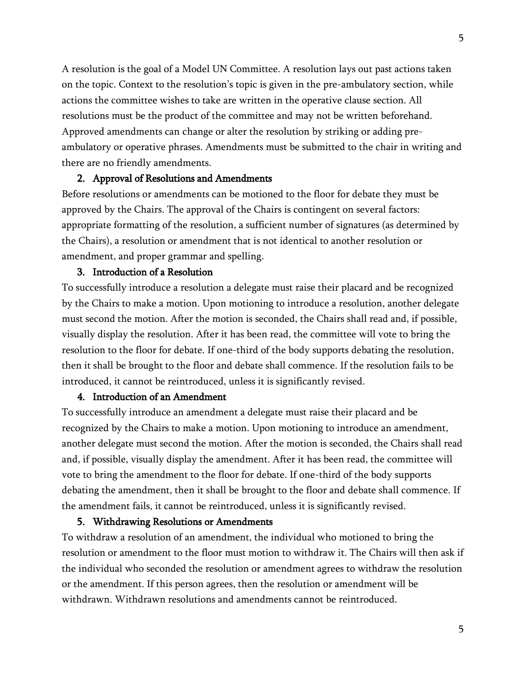A resolution is the goal of a Model UN Committee. A resolution lays out past actions taken on the topic. Context to the resolution's topic is given in the pre-ambulatory section, while actions the committee wishes to take are written in the operative clause section. All resolutions must be the product of the committee and may not be written beforehand. Approved amendments can change or alter the resolution by striking or adding preambulatory or operative phrases. Amendments must be submitted to the chair in writing and there are no friendly amendments.

#### 2. Approval of Resolutions and Amendments

Before resolutions or amendments can be motioned to the floor for debate they must be approved by the Chairs. The approval of the Chairs is contingent on several factors: appropriate formatting of the resolution, a sufficient number of signatures (as determined by the Chairs), a resolution or amendment that is not identical to another resolution or amendment, and proper grammar and spelling.

## 3. Introduction of a Resolution

To successfully introduce a resolution a delegate must raise their placard and be recognized by the Chairs to make a motion. Upon motioning to introduce a resolution, another delegate must second the motion. After the motion is seconded, the Chairs shall read and, if possible, visually display the resolution. After it has been read, the committee will vote to bring the resolution to the floor for debate. If one-third of the body supports debating the resolution, then it shall be brought to the floor and debate shall commence. If the resolution fails to be introduced, it cannot be reintroduced, unless it is significantly revised.

## 4. Introduction of an Amendment

To successfully introduce an amendment a delegate must raise their placard and be recognized by the Chairs to make a motion. Upon motioning to introduce an amendment, another delegate must second the motion. After the motion is seconded, the Chairs shall read and, if possible, visually display the amendment. After it has been read, the committee will vote to bring the amendment to the floor for debate. If one-third of the body supports debating the amendment, then it shall be brought to the floor and debate shall commence. If the amendment fails, it cannot be reintroduced, unless it is significantly revised.

#### 5. Withdrawing Resolutions or Amendments

To withdraw a resolution of an amendment, the individual who motioned to bring the resolution or amendment to the floor must motion to withdraw it. The Chairs will then ask if the individual who seconded the resolution or amendment agrees to withdraw the resolution or the amendment. If this person agrees, then the resolution or amendment will be withdrawn. Withdrawn resolutions and amendments cannot be reintroduced.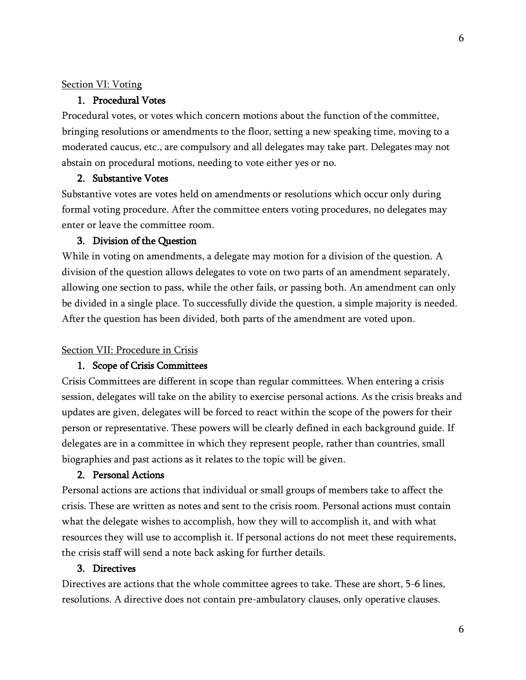#### Section VI: Voting

### 1. Procedural Votes

Procedural votes, or votes which concern motions about the function of the committee, bringing resolutions or amendments to the floor, setting a new speaking time, moving to a moderated caucus, etc., are compulsory and all delegates may take part. Delegates may not abstain on procedural motions, needing to vote either yes or no.

#### 2. Substantive Votes

Substantive votes are votes held on amendments or resolutions which occur only during formal voting procedure. After the committee enters voting procedures, no delegates may enter or leave the committee room.

## 3. Division of the Question

While in voting on amendments, a delegate may motion for a division of the question. A division of the question allows delegates to vote on two parts of an amendment separately, allowing one section to pass, while the other fails, or passing both. An amendment can only be divided in a single place. To successfully divide the question, a simple majority is needed. After the question has been divided, both parts of the amendment are voted upon.

#### Section VII: Procedure in Crisis

#### 1. Scope of Crisis Committees

Crisis Committees are different in scope than regular committees. When entering a crisis session, delegates will take on the ability to exercise personal actions. As the crisis breaks and updates are given, delegates will be forced to react within the scope of the powers for their person or representative. These powers will be clearly defined in each background guide. If delegates are in a committee in which they represent people, rather than countries, small biographies and past actions as it relates to the topic will be given.

# 2. Personal Actions

Personal actions are actions that individual or small groups of members take to affect the crisis. These are written as notes and sent to the crisis room. Personal actions must contain what the delegate wishes to accomplish, how they will to accomplish it, and with what resources they will use to accomplish it. If personal actions do not meet these requirements, the crisis staff will send a note back asking for further details.

# 3. Directives

Directives are actions that the whole committee agrees to take. These are short, 5-6 lines, resolutions. A directive does not contain pre-ambulatory clauses, only operative clauses.